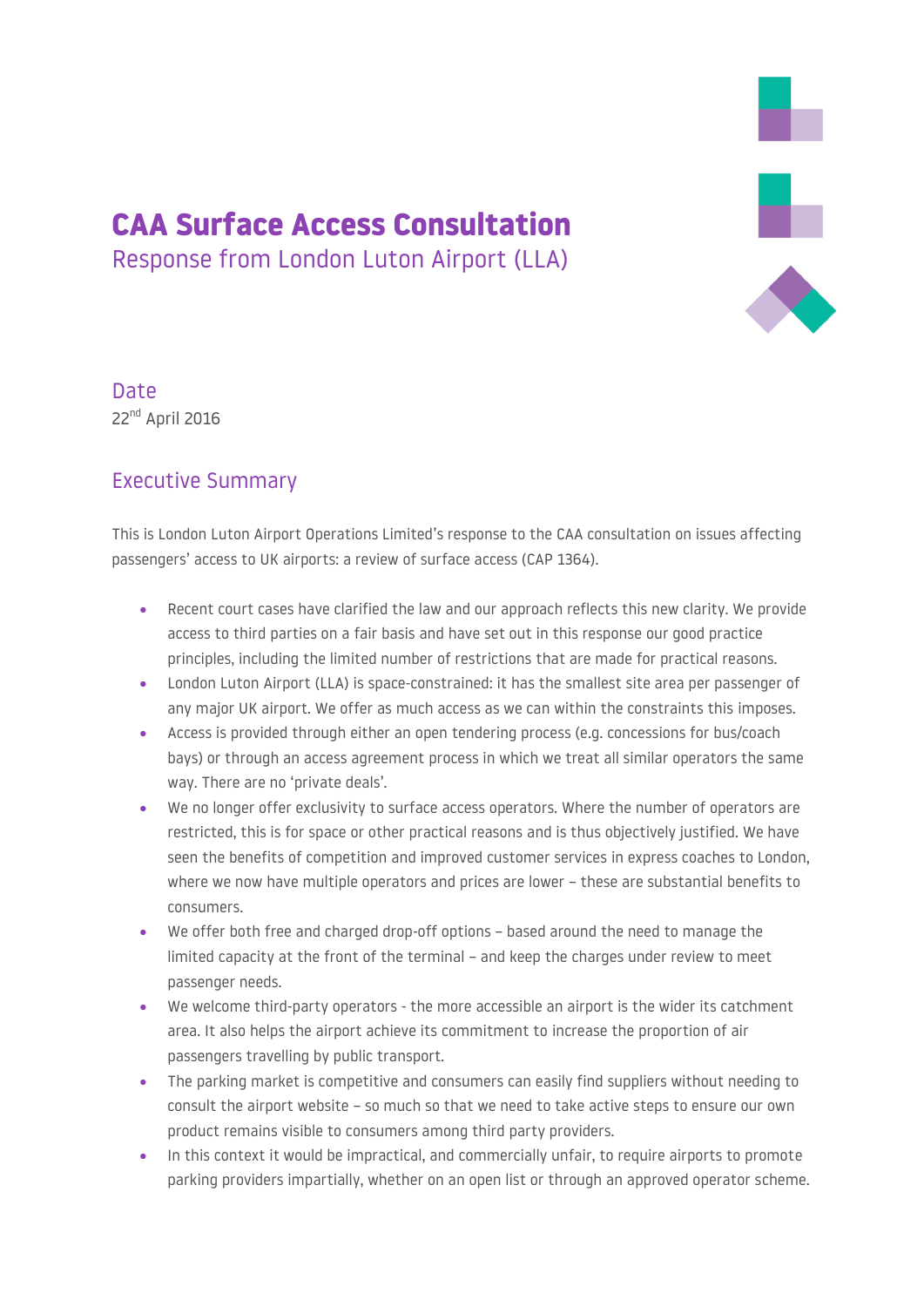# 

## Date 22<sup>nd</sup> April 2016

#### Executive Summary

This is London Luton Airport Operations Limited's response to the CAA consultation on issues affecting passengers' access to UK airports: a review of surface access (CAP 1364).

CAA Surface Access Consultation

Response from London Luton Airport (LLA)

- Recent court cases have clarified the law and our approach reflects this new clarity. We provide access to third parties on a fair basis and have set out in this response our good practice principles, including the limited number of restrictions that are made for practical reasons.
- London Luton Airport (LLA) is space-constrained: it has the smallest site area per passenger of any major UK airport. We offer as much access as we can within the constraints this imposes.
- Access is provided through either an open tendering process (e.g. concessions for bus/coach bays) or through an access agreement process in which we treat all similar operators the same way. There are no 'private deals'.
- We no longer offer exclusivity to surface access operators. Where the number of operators are restricted, this is for space or other practical reasons and is thus objectively justified. We have seen the benefits of competition and improved customer services in express coaches to London, where we now have multiple operators and prices are lower – these are substantial benefits to consumers.
- We offer both free and charged drop-off options based around the need to manage the limited capacity at the front of the terminal – and keep the charges under review to meet passenger needs.
- We welcome third-party operators the more accessible an airport is the wider its catchment area. It also helps the airport achieve its commitment to increase the proportion of air passengers travelling by public transport.
- The parking market is competitive and consumers can easily find suppliers without needing to consult the airport website – so much so that we need to take active steps to ensure our own product remains visible to consumers among third party providers.
- In this context it would be impractical, and commercially unfair, to require airports to promote parking providers impartially, whether on an open list or through an approved operator scheme.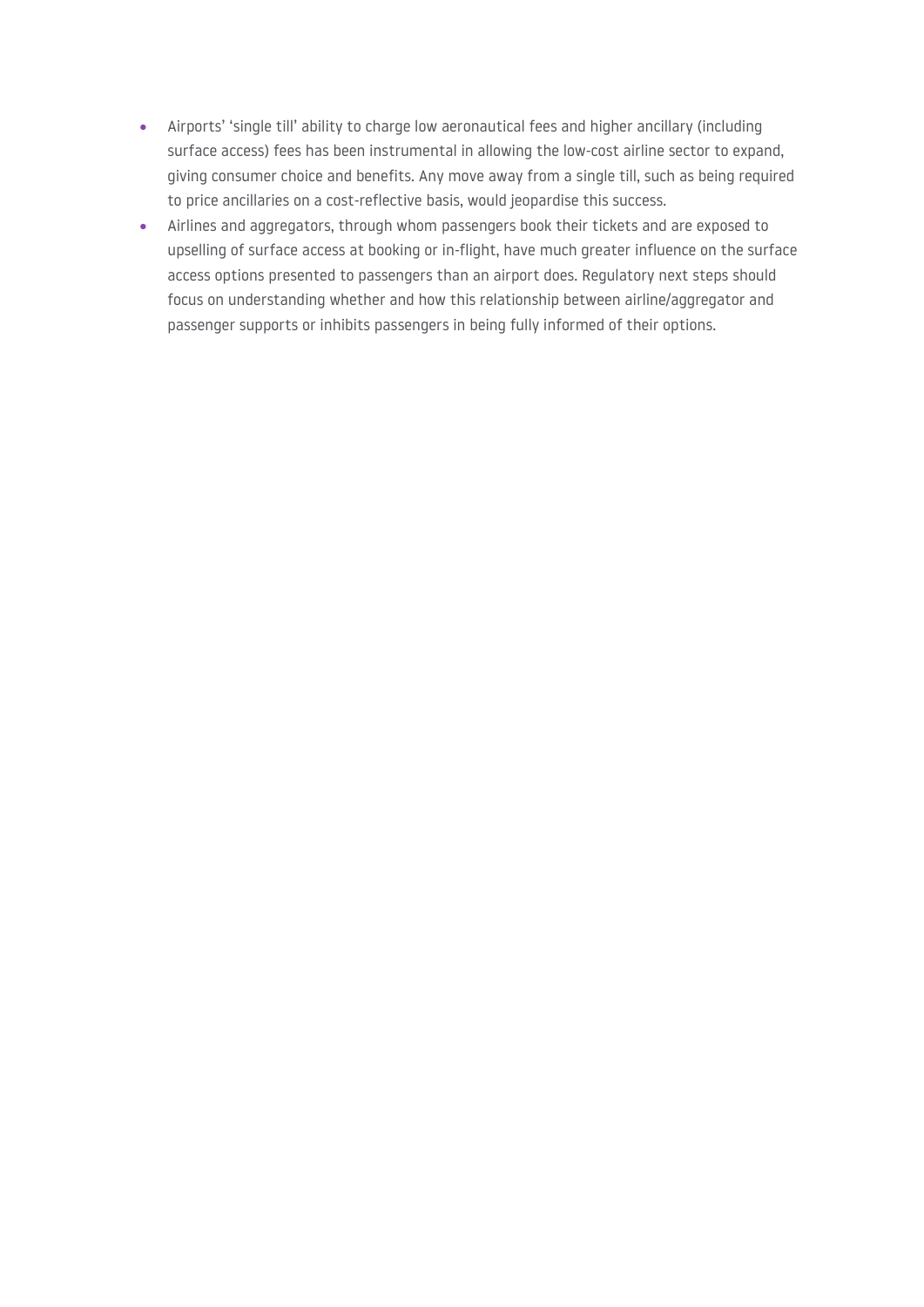- Airports' 'single till' ability to charge low aeronautical fees and higher ancillary (including surface access) fees has been instrumental in allowing the low-cost airline sector to expand, giving consumer choice and benefits. Any move away from a single till, such as being required to price ancillaries on a cost-reflective basis, would jeopardise this success.
- Airlines and aggregators, through whom passengers book their tickets and are exposed to upselling of surface access at booking or in-flight, have much greater influence on the surface access options presented to passengers than an airport does. Regulatory next steps should focus on understanding whether and how this relationship between airline/aggregator and passenger supports or inhibits passengers in being fully informed of their options.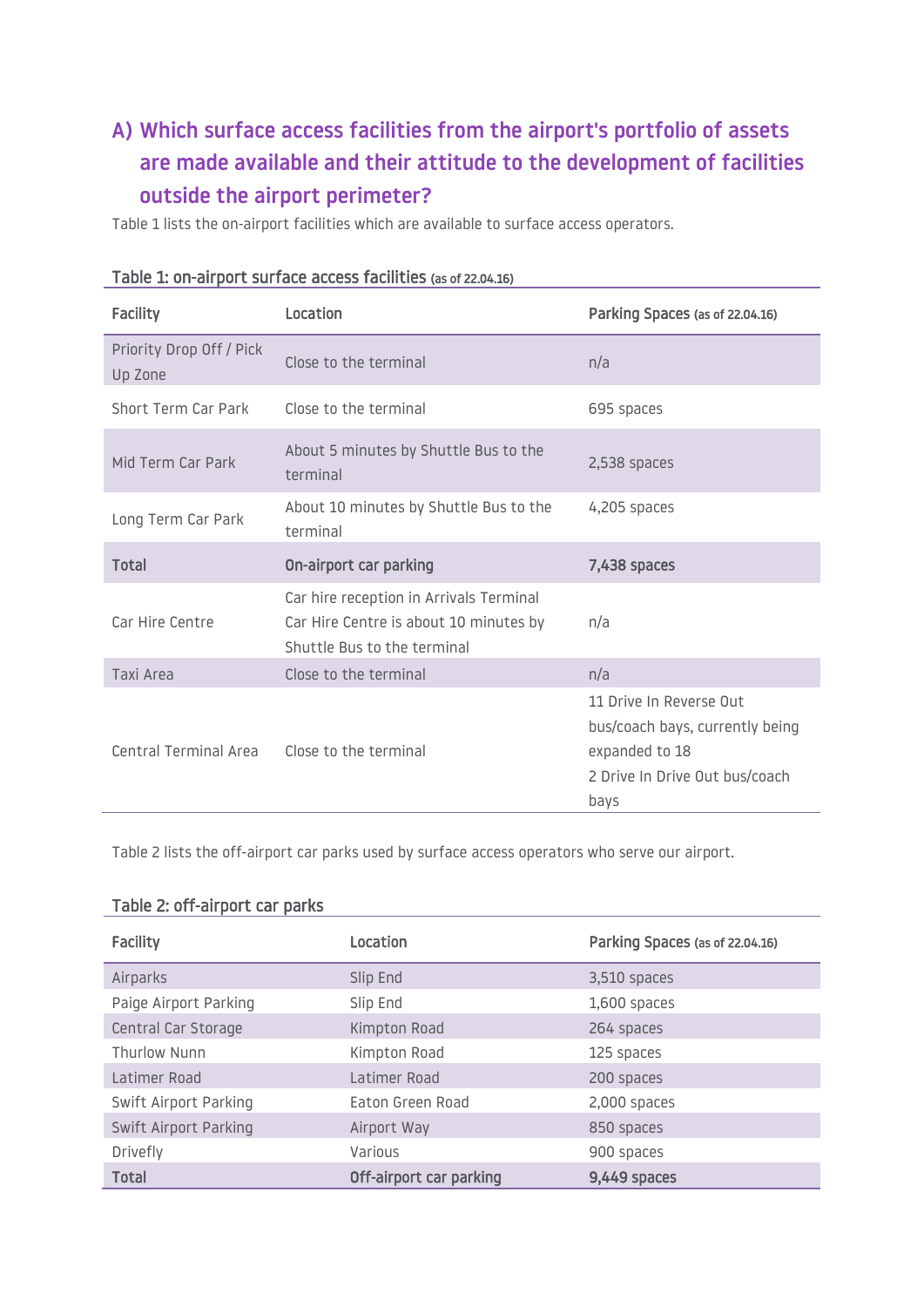# **A) Which surface access facilities from the airport's portfolio of assets are made available and their attitude to the development of facilities outside the airport perimeter?**

Table 1 lists the on-airport facilities which are available to surface access operators.

| <b>Facility</b>                             | Location                                                                                                         | Parking Spaces (as of 22.04.16)                                                                                        |
|---------------------------------------------|------------------------------------------------------------------------------------------------------------------|------------------------------------------------------------------------------------------------------------------------|
| Priority Drop Off / Pick<br>Up Zone         | Close to the terminal                                                                                            | n/a                                                                                                                    |
| Short Term Car Park                         | Close to the terminal                                                                                            | 695 spaces                                                                                                             |
| Mid Term Car Park                           | About 5 minutes by Shuttle Bus to the<br>terminal                                                                | 2,538 spaces                                                                                                           |
| Long Term Car Park                          | About 10 minutes by Shuttle Bus to the<br>terminal                                                               | 4,205 spaces                                                                                                           |
| Total                                       | On-airport car parking                                                                                           | 7,438 spaces                                                                                                           |
| Car Hire Centre                             | Car hire reception in Arrivals Terminal<br>Car Hire Centre is about 10 minutes by<br>Shuttle Bus to the terminal | n/a                                                                                                                    |
| Taxi Area                                   | Close to the terminal                                                                                            | n/a                                                                                                                    |
| Central Terminal Area Close to the terminal |                                                                                                                  | 11 Drive In Reverse Out<br>bus/coach bays, currently being<br>expanded to 18<br>2 Drive In Drive Out bus/coach<br>bays |

| Table 1: on-airport surface access facilities (as of 22.04.16) |  |  |  |
|----------------------------------------------------------------|--|--|--|
|----------------------------------------------------------------|--|--|--|

Table 2 lists the off-airport car parks used by surface access operators who serve our airport.

#### Table 2: off-airport car parks

| <b>Facility</b>       | Location                | Parking Spaces (as of 22.04.16) |
|-----------------------|-------------------------|---------------------------------|
| Airparks              | Slip End                | 3,510 spaces                    |
| Paige Airport Parking | Slip End                | 1,600 spaces                    |
| Central Car Storage   | Kimpton Road            | 264 spaces                      |
| Thurlow Nunn          | Kimpton Road            | 125 spaces                      |
| Latimer Road          | Latimer Road            | 200 spaces                      |
| Swift Airport Parking | Eaton Green Road        | 2,000 spaces                    |
| Swift Airport Parking | Airport Way             | 850 spaces                      |
| Drivefly              | Various                 | 900 spaces                      |
| <b>Total</b>          | Off-airport car parking | 9,449 spaces                    |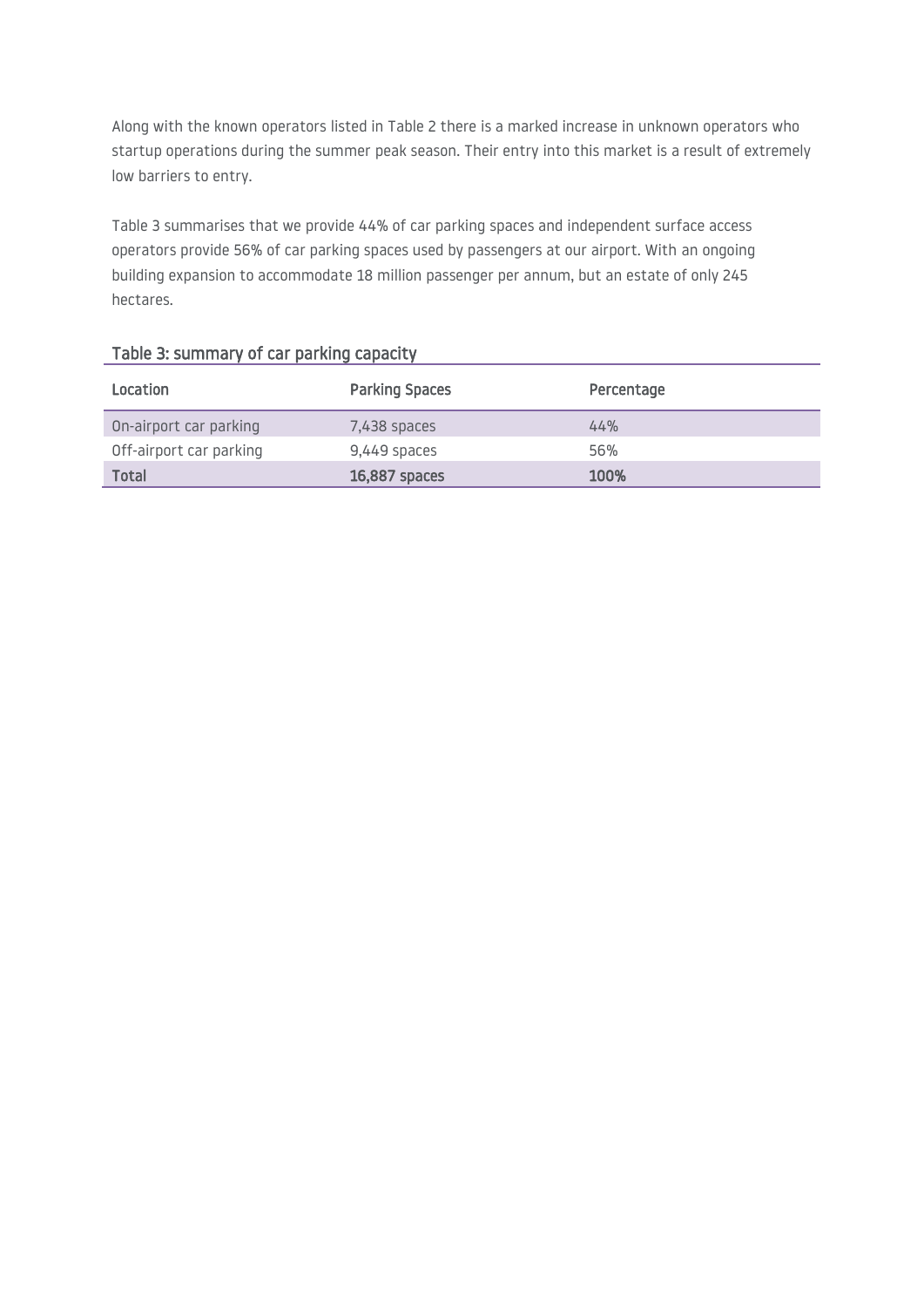Along with the known operators listed in Table 2 there is a marked increase in unknown operators who startup operations during the summer peak season. Their entry into this market is a result of extremely low barriers to entry.

Table 3 summarises that we provide 44% of car parking spaces and independent surface access operators provide 56% of car parking spaces used by passengers at our airport. With an ongoing building expansion to accommodate 18 million passenger per annum, but an estate of only 245 hectares.

| Location                | <b>Parking Spaces</b> | Percentage |
|-------------------------|-----------------------|------------|
| On-airport car parking  | 7,438 spaces          | 44%        |
| Off-airport car parking | 9,449 spaces          | 56%        |
| Total                   | 16,887 spaces         | 100%       |

#### Table 3: summary of car parking capacity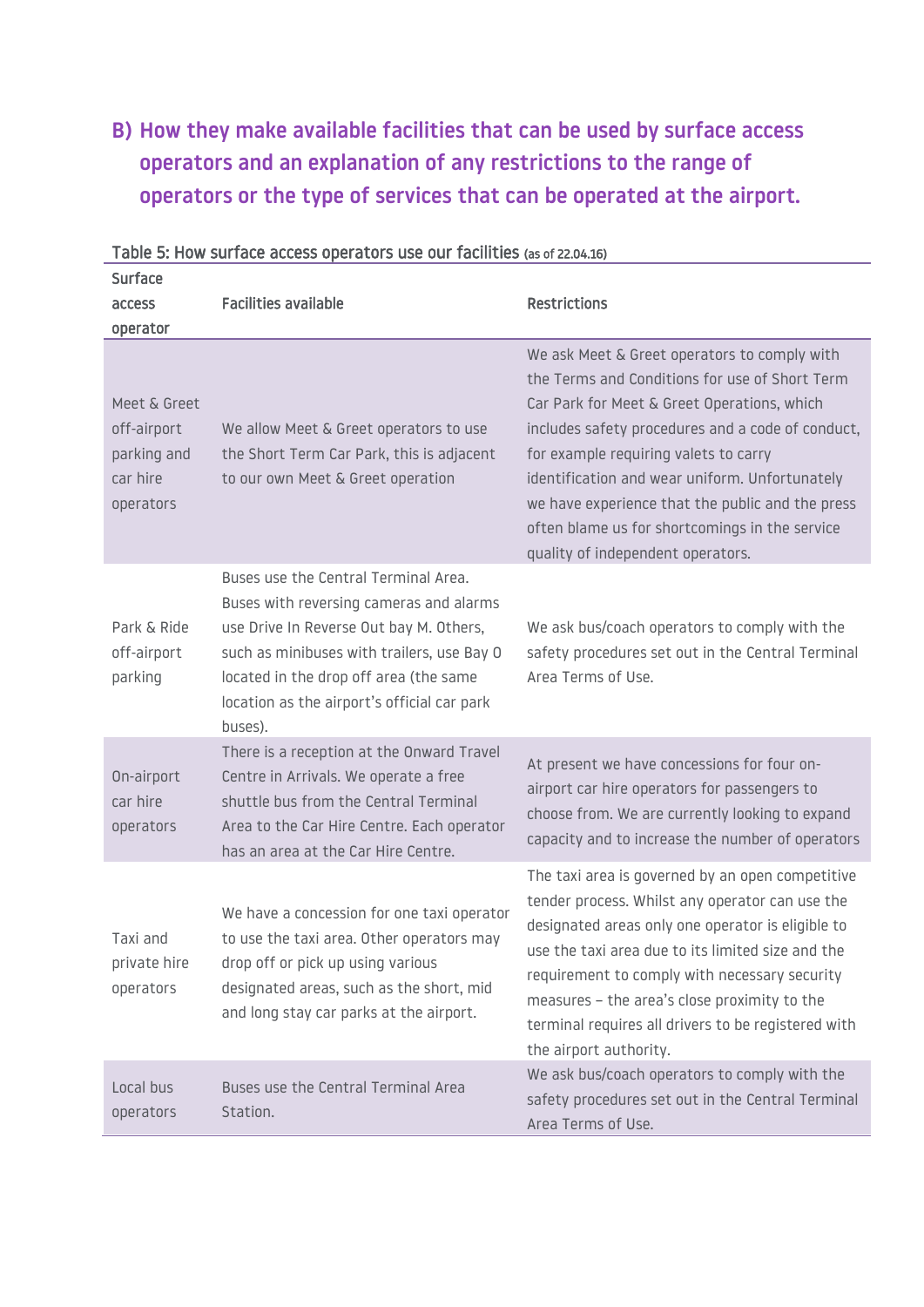## **B) How they make available facilities that can be used by surface access operators and an explanation of any restrictions to the range of operators or the type of services that can be operated at the airport.**

| <b>Surface</b><br>access<br>operator                                | <b>Facilities available</b>                                                                                                                                                                                                                                                  | <b>Restrictions</b>                                                                                                                                                                                                                                                                                                                                                                                                                      |
|---------------------------------------------------------------------|------------------------------------------------------------------------------------------------------------------------------------------------------------------------------------------------------------------------------------------------------------------------------|------------------------------------------------------------------------------------------------------------------------------------------------------------------------------------------------------------------------------------------------------------------------------------------------------------------------------------------------------------------------------------------------------------------------------------------|
| Meet & Greet<br>off-airport<br>parking and<br>car hire<br>operators | We allow Meet & Greet operators to use<br>the Short Term Car Park, this is adjacent<br>to our own Meet & Greet operation                                                                                                                                                     | We ask Meet & Greet operators to comply with<br>the Terms and Conditions for use of Short Term<br>Car Park for Meet & Greet Operations, which<br>includes safety procedures and a code of conduct,<br>for example requiring valets to carry<br>identification and wear uniform. Unfortunately<br>we have experience that the public and the press<br>often blame us for shortcomings in the service<br>quality of independent operators. |
| Park & Ride<br>off-airport<br>parking                               | Buses use the Central Terminal Area.<br>Buses with reversing cameras and alarms<br>use Drive In Reverse Out bay M. Others,<br>such as minibuses with trailers, use Bay 0<br>located in the drop off area (the same<br>location as the airport's official car park<br>buses). | We ask bus/coach operators to comply with the<br>safety procedures set out in the Central Terminal<br>Area Terms of Use.                                                                                                                                                                                                                                                                                                                 |
| On-airport<br>car hire<br>operators                                 | There is a reception at the Onward Travel<br>Centre in Arrivals. We operate a free<br>shuttle bus from the Central Terminal<br>Area to the Car Hire Centre. Each operator<br>has an area at the Car Hire Centre.                                                             | At present we have concessions for four on-<br>airport car hire operators for passengers to<br>choose from. We are currently looking to expand<br>capacity and to increase the number of operators                                                                                                                                                                                                                                       |
| Taxi and<br>private hire<br>operators                               | We have a concession for one taxi operator<br>to use the taxi area. Other operators may<br>drop off or pick up using various<br>designated areas, such as the short, mid<br>and long stay car parks at the airport.                                                          | The taxi area is governed by an open competitive<br>tender process. Whilst any operator can use the<br>designated areas only one operator is eligible to<br>use the taxi area due to its limited size and the<br>requirement to comply with necessary security<br>measures - the area's close proximity to the<br>terminal requires all drivers to be registered with<br>the airport authority.                                          |
| Local bus<br>operators                                              | Buses use the Central Terminal Area<br>Station.                                                                                                                                                                                                                              | We ask bus/coach operators to comply with the<br>safety procedures set out in the Central Terminal<br>Area Terms of Use.                                                                                                                                                                                                                                                                                                                 |

#### Table 5: How surface access operators use our facilities (as of 22.04.16)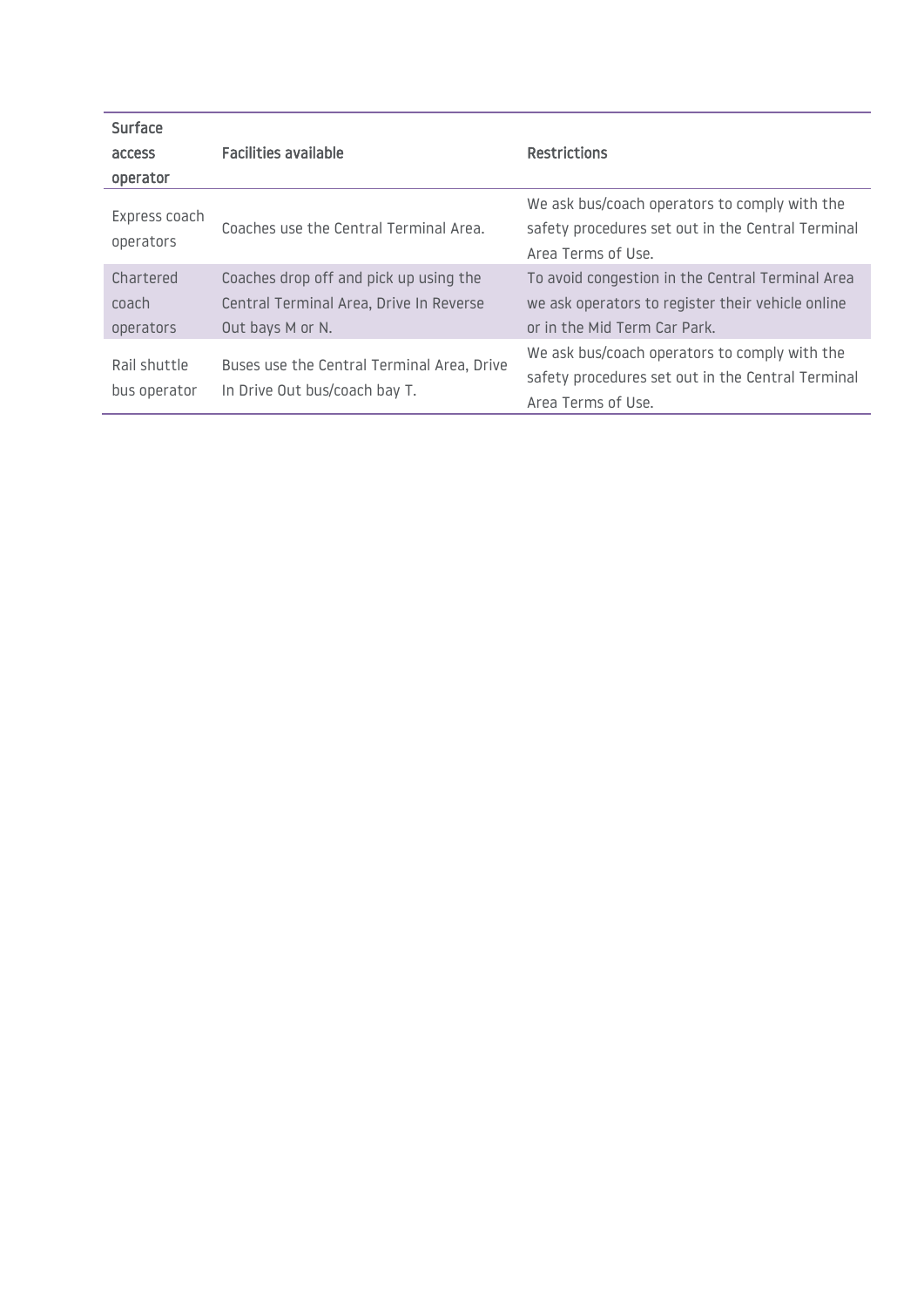| Surface                         |                                                                                                       |                                                                                                                                       |
|---------------------------------|-------------------------------------------------------------------------------------------------------|---------------------------------------------------------------------------------------------------------------------------------------|
| access                          | <b>Facilities available</b>                                                                           | <b>Restrictions</b>                                                                                                                   |
| operator                        |                                                                                                       |                                                                                                                                       |
| Express coach<br>operators      | Coaches use the Central Terminal Area.                                                                | We ask bus/coach operators to comply with the<br>safety procedures set out in the Central Terminal<br>Area Terms of Use.              |
| Chartered<br>coach<br>operators | Coaches drop off and pick up using the<br>Central Terminal Area, Drive In Reverse<br>Out bays M or N. | To avoid congestion in the Central Terminal Area<br>we ask operators to register their vehicle online<br>or in the Mid Term Car Park. |
| Rail shuttle<br>bus operator    | Buses use the Central Terminal Area, Drive<br>In Drive Out bus/coach bay T.                           | We ask bus/coach operators to comply with the<br>safety procedures set out in the Central Terminal<br>Area Terms of Use.              |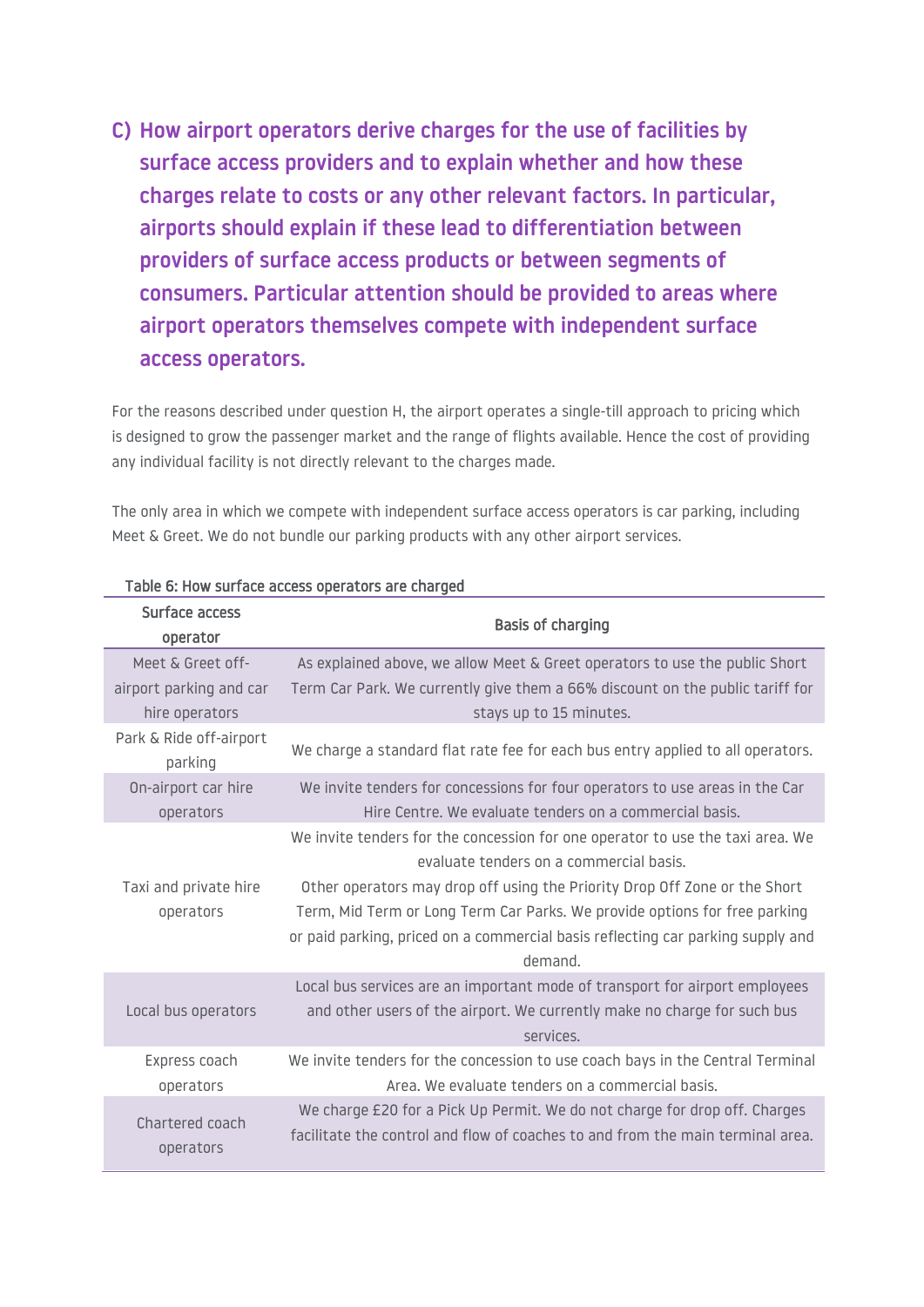**C) How airport operators derive charges for the use of facilities by surface access providers and to explain whether and how these charges relate to costs or any other relevant factors. In particular, airports should explain if these lead to differentiation between providers of surface access products or between segments of consumers. Particular attention should be provided to areas where airport operators themselves compete with independent surface access operators.**

For the reasons described under question H, the airport operates a single-till approach to pricing which is designed to grow the passenger market and the range of flights available. Hence the cost of providing any individual facility is not directly relevant to the charges made.

The only area in which we compete with independent surface access operators is car parking, including Meet & Greet. We do not bundle our parking products with any other airport services.

| Surface access<br>operator         | <b>Basis of charging</b>                                                                                                                                                                                                                                                                                                                                                            |
|------------------------------------|-------------------------------------------------------------------------------------------------------------------------------------------------------------------------------------------------------------------------------------------------------------------------------------------------------------------------------------------------------------------------------------|
| Meet & Greet off-                  | As explained above, we allow Meet & Greet operators to use the public Short                                                                                                                                                                                                                                                                                                         |
| airport parking and car            | Term Car Park. We currently give them a 66% discount on the public tariff for                                                                                                                                                                                                                                                                                                       |
| hire operators                     | stays up to 15 minutes.                                                                                                                                                                                                                                                                                                                                                             |
| Park & Ride off-airport<br>parking | We charge a standard flat rate fee for each bus entry applied to all operators.                                                                                                                                                                                                                                                                                                     |
| On-airport car hire                | We invite tenders for concessions for four operators to use areas in the Car                                                                                                                                                                                                                                                                                                        |
| operators                          | Hire Centre. We evaluate tenders on a commercial basis.                                                                                                                                                                                                                                                                                                                             |
| Taxi and private hire<br>operators | We invite tenders for the concession for one operator to use the taxi area. We<br>evaluate tenders on a commercial basis.<br>Other operators may drop off using the Priority Drop Off Zone or the Short<br>Term, Mid Term or Long Term Car Parks. We provide options for free parking<br>or paid parking, priced on a commercial basis reflecting car parking supply and<br>demand. |
| Local bus operators                | Local bus services are an important mode of transport for airport employees<br>and other users of the airport. We currently make no charge for such bus<br>services.                                                                                                                                                                                                                |
| Express coach                      | We invite tenders for the concession to use coach bays in the Central Terminal                                                                                                                                                                                                                                                                                                      |
| operators                          | Area. We evaluate tenders on a commercial basis.                                                                                                                                                                                                                                                                                                                                    |
| Chartered coach                    | We charge £20 for a Pick Up Permit. We do not charge for drop off. Charges                                                                                                                                                                                                                                                                                                          |
| operators                          | facilitate the control and flow of coaches to and from the main terminal area.                                                                                                                                                                                                                                                                                                      |

#### Table 6: How surface access operators are charged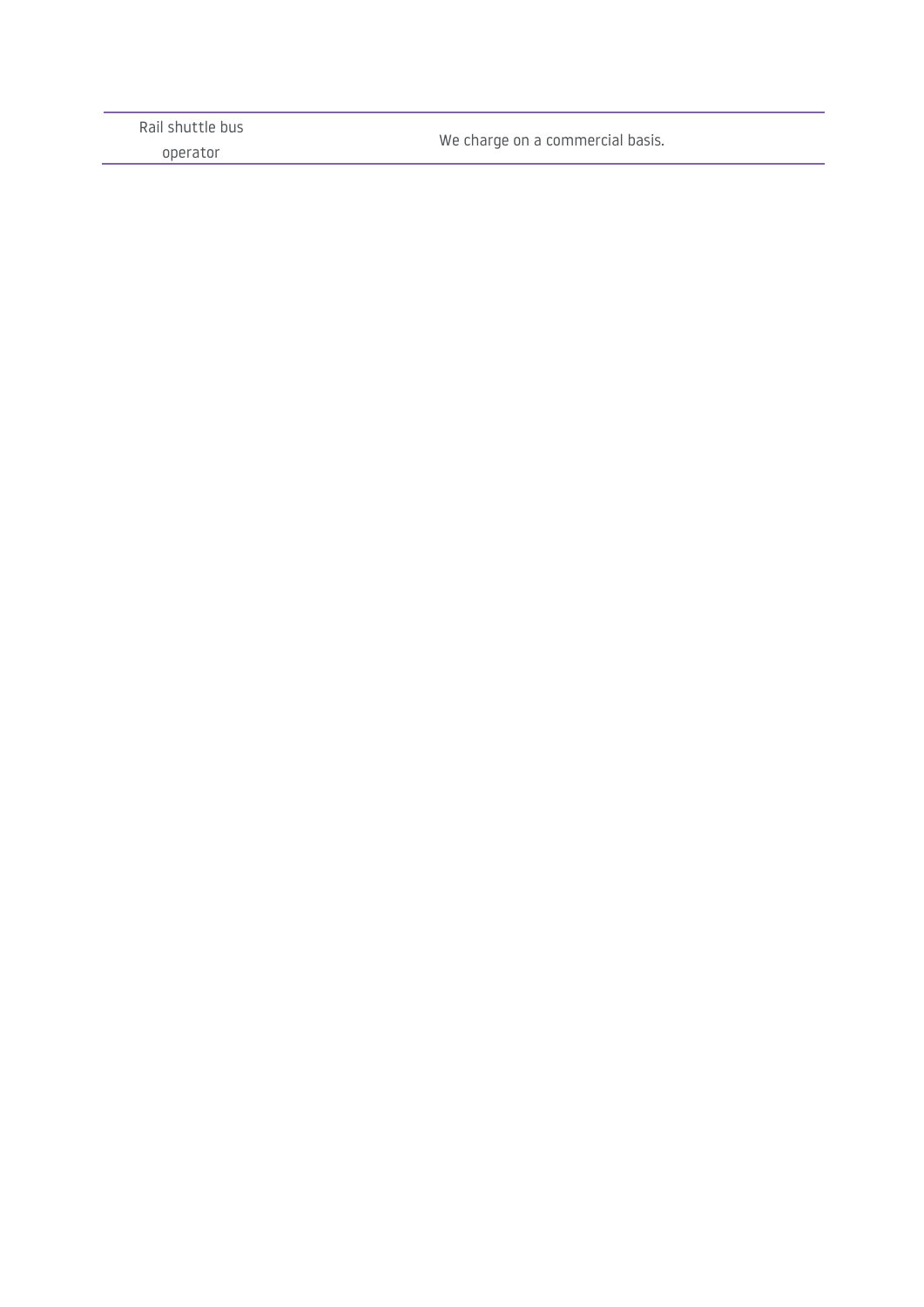| operator | We charge on a commercial basis. |
|----------|----------------------------------|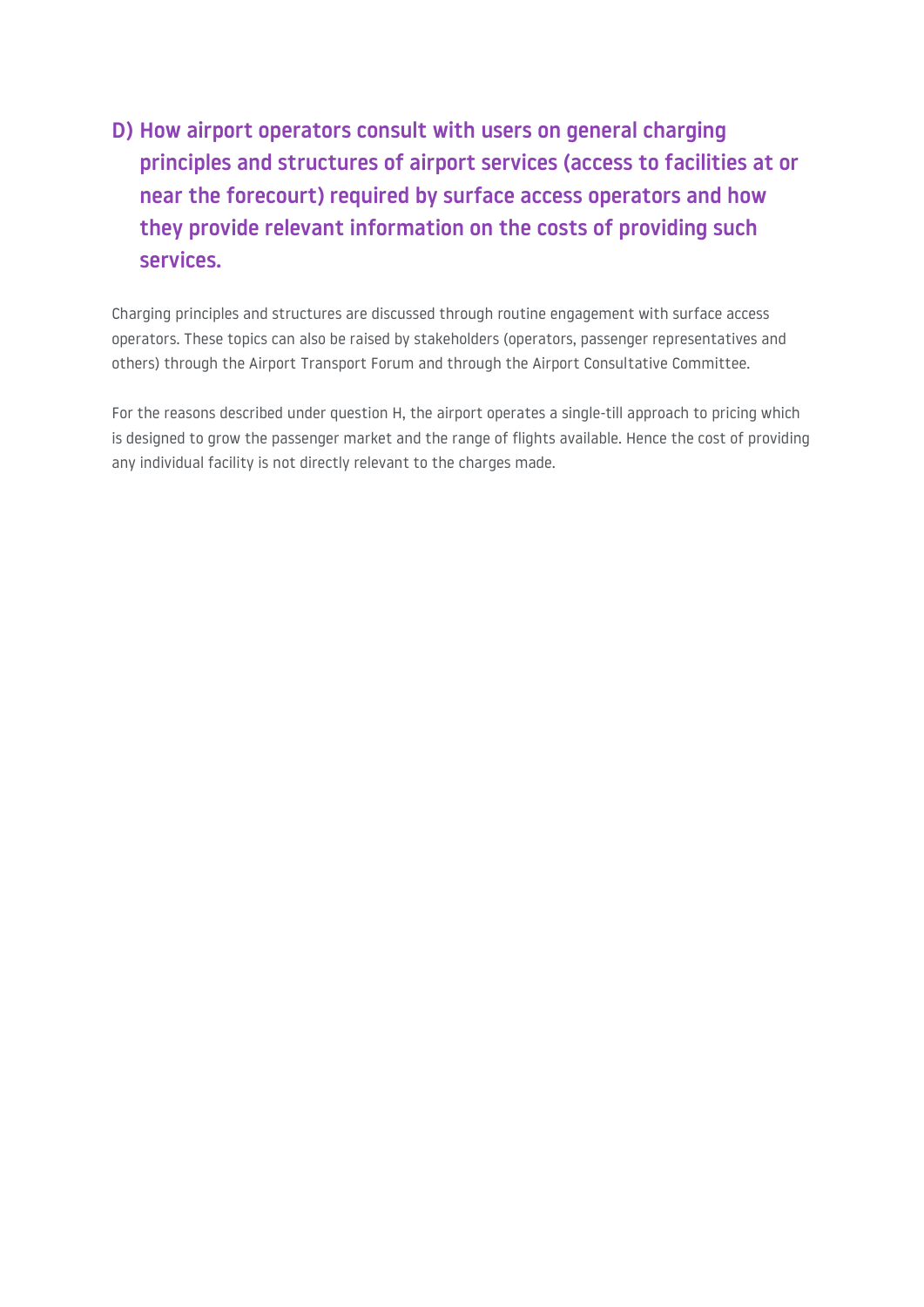# **D) How airport operators consult with users on general charging principles and structures of airport services (access to facilities at or near the forecourt) required by surface access operators and how they provide relevant information on the costs of providing such services.**

Charging principles and structures are discussed through routine engagement with surface access operators. These topics can also be raised by stakeholders (operators, passenger representatives and others) through the Airport Transport Forum and through the Airport Consultative Committee.

For the reasons described under question H, the airport operates a single-till approach to pricing which is designed to grow the passenger market and the range of flights available. Hence the cost of providing any individual facility is not directly relevant to the charges made.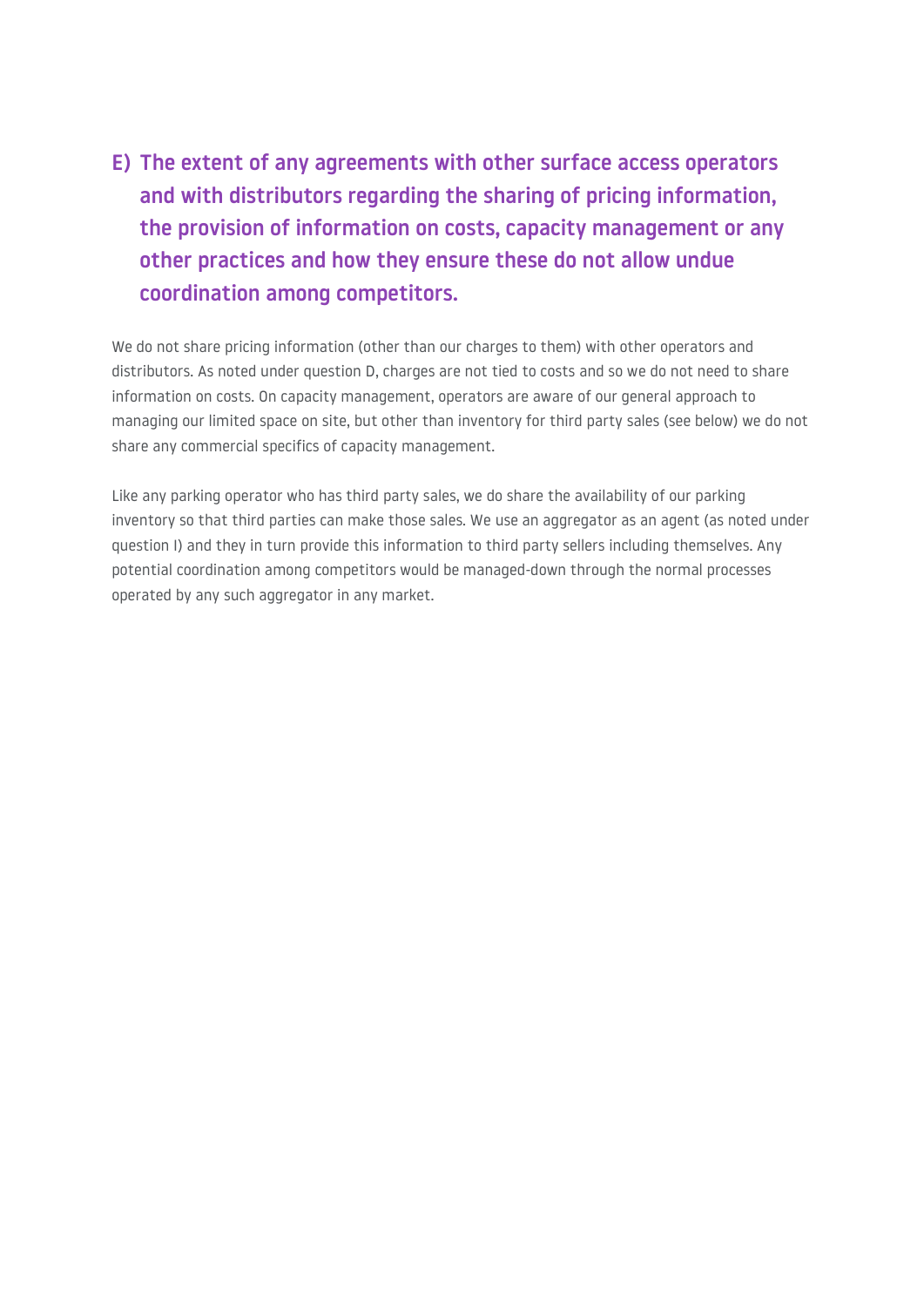**E) The extent of any agreements with other surface access operators and with distributors regarding the sharing of pricing information, the provision of information on costs, capacity management or any other practices and how they ensure these do not allow undue coordination among competitors.**

We do not share pricing information (other than our charges to them) with other operators and distributors. As noted under question D, charges are not tied to costs and so we do not need to share information on costs. On capacity management, operators are aware of our general approach to managing our limited space on site, but other than inventory for third party sales (see below) we do not share any commercial specifics of capacity management.

Like any parking operator who has third party sales, we do share the availability of our parking inventory so that third parties can make those sales. We use an aggregator as an agent (as noted under question I) and they in turn provide this information to third party sellers including themselves. Any potential coordination among competitors would be managed-down through the normal processes operated by any such aggregator in any market.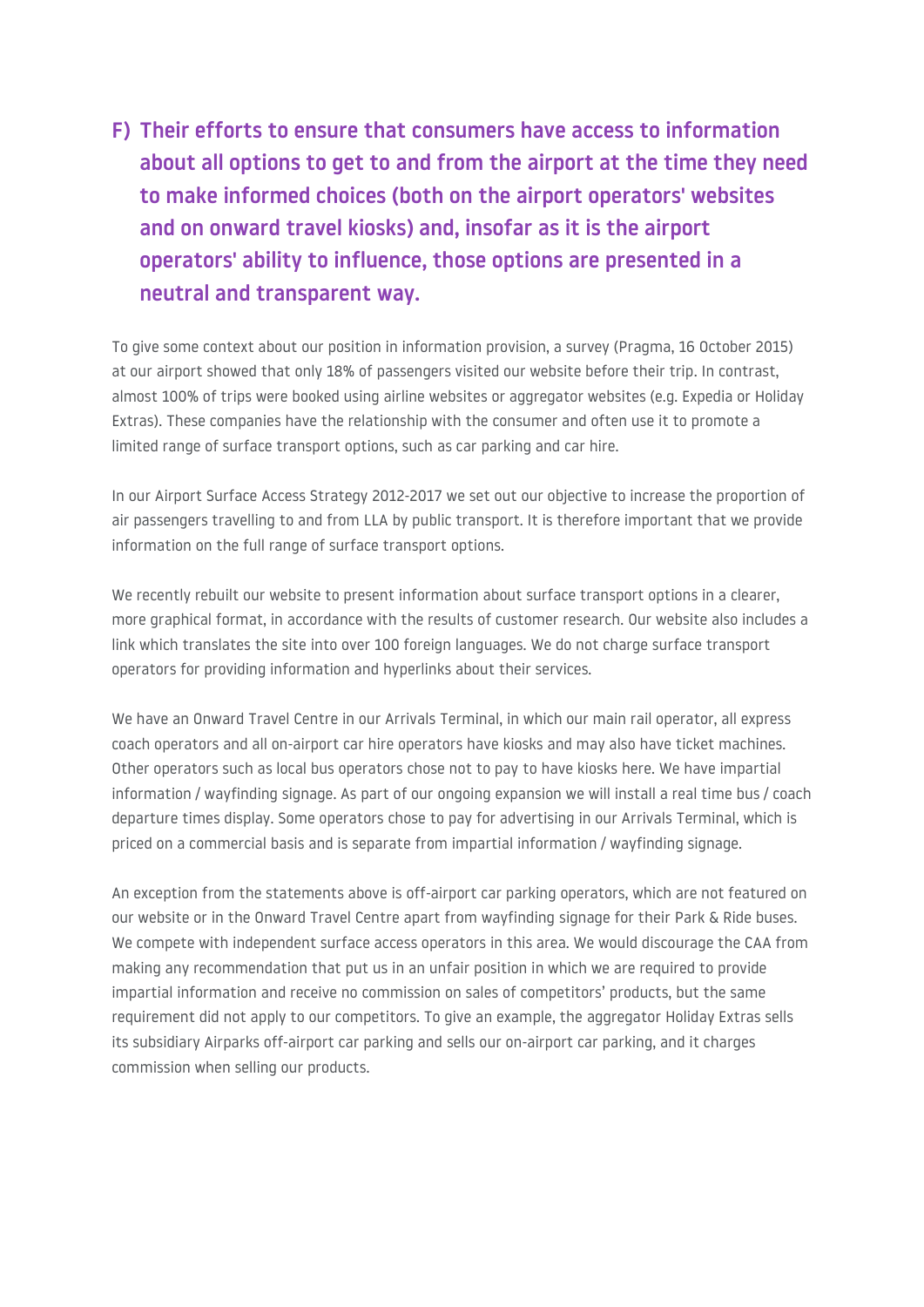**F) Their efforts to ensure that consumers have access to information about all options to get to and from the airport at the time they need to make informed choices (both on the airport operators' websites and on onward travel kiosks) and, insofar as it is the airport operators' ability to influence, those options are presented in a neutral and transparent way.**

To give some context about our position in information provision, a survey (Pragma, 16 October 2015) at our airport showed that only 18% of passengers visited our website before their trip. In contrast, almost 100% of trips were booked using airline websites or aggregator websites (e.g. Expedia or Holiday Extras). These companies have the relationship with the consumer and often use it to promote a limited range of surface transport options, such as car parking and car hire.

In our Airport Surface Access Strategy 2012-2017 we set out our objective to increase the proportion of air passengers travelling to and from LLA by public transport. It is therefore important that we provide information on the full range of surface transport options.

We recently rebuilt our website to present information about surface transport options in a clearer, more graphical format, in accordance with the results of customer research. Our website also includes a link which translates the site into over 100 foreign languages. We do not charge surface transport operators for providing information and hyperlinks about their services.

We have an Onward Travel Centre in our Arrivals Terminal, in which our main rail operator, all express coach operators and all on-airport car hire operators have kiosks and may also have ticket machines. Other operators such as local bus operators chose not to pay to have kiosks here. We have impartial information / wayfinding signage. As part of our ongoing expansion we will install a real time bus / coach departure times display. Some operators chose to pay for advertising in our Arrivals Terminal, which is priced on a commercial basis and is separate from impartial information / wayfinding signage.

An exception from the statements above is off-airport car parking operators, which are not featured on our website or in the Onward Travel Centre apart from wayfinding signage for their Park & Ride buses. We compete with independent surface access operators in this area. We would discourage the CAA from making any recommendation that put us in an unfair position in which we are required to provide impartial information and receive no commission on sales of competitors' products, but the same requirement did not apply to our competitors. To give an example, the aggregator Holiday Extras sells its subsidiary Airparks off-airport car parking and sells our on-airport car parking, and it charges commission when selling our products.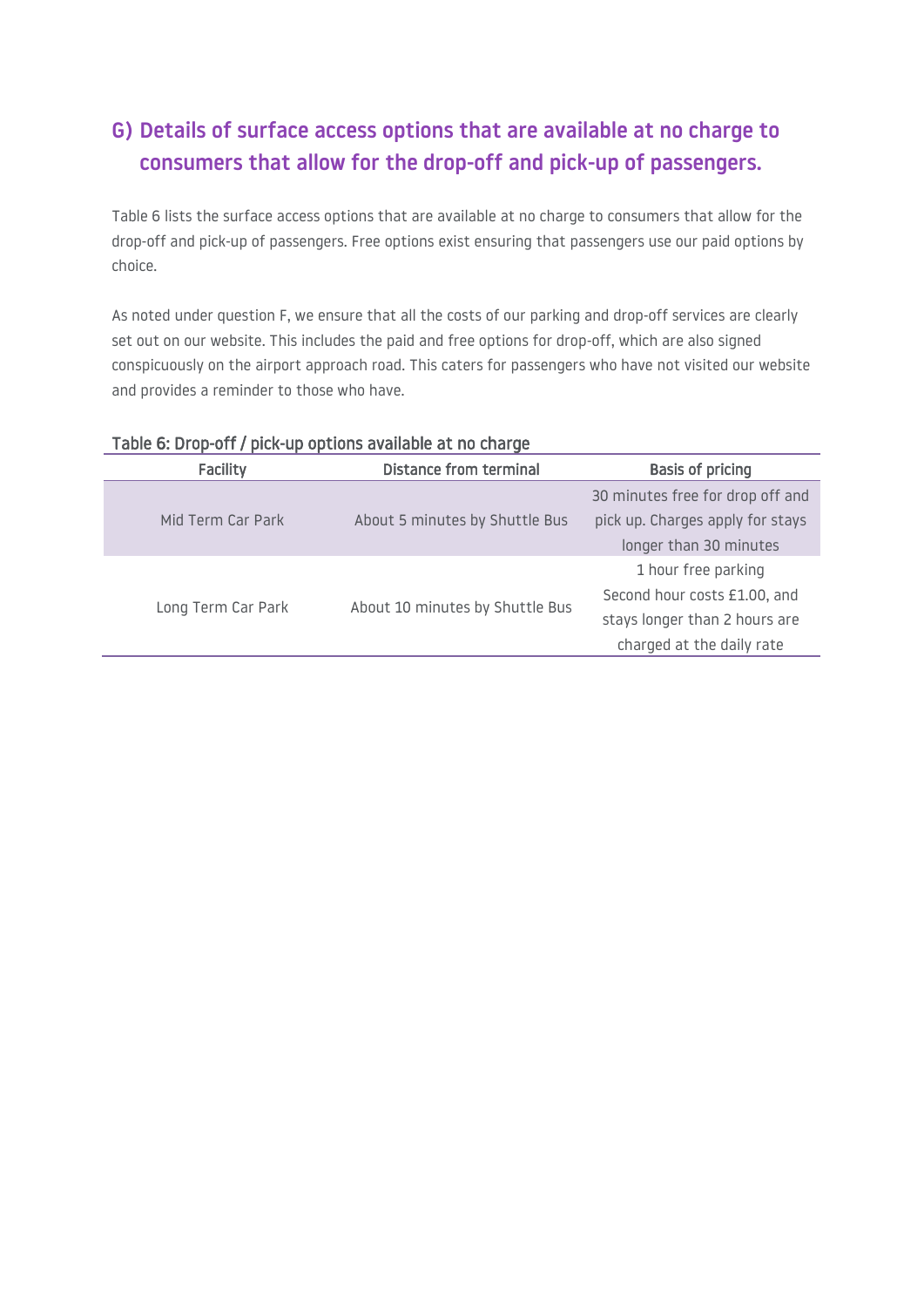## **G) Details of surface access options that are available at no charge to consumers that allow for the drop-off and pick-up of passengers.**

Table 6 lists the surface access options that are available at no charge to consumers that allow for the drop-off and pick-up of passengers. Free options exist ensuring that passengers use our paid options by choice.

As noted under question F, we ensure that all the costs of our parking and drop-off services are clearly set out on our website. This includes the paid and free options for drop-off, which are also signed conspicuously on the airport approach road. This caters for passengers who have not visited our website and provides a reminder to those who have.

| . In the same in the second case of the second case of the second second second second second second second second second second second second second second second second second second second second second second second s |                                 |                                  |  |
|-------------------------------------------------------------------------------------------------------------------------------------------------------------------------------------------------------------------------------|---------------------------------|----------------------------------|--|
| Facility                                                                                                                                                                                                                      | <b>Distance from terminal</b>   | <b>Basis of pricing</b>          |  |
|                                                                                                                                                                                                                               |                                 | 30 minutes free for drop off and |  |
| Mid Term Car Park                                                                                                                                                                                                             | About 5 minutes by Shuttle Bus  | pick up. Charges apply for stays |  |
|                                                                                                                                                                                                                               |                                 | longer than 30 minutes           |  |
|                                                                                                                                                                                                                               |                                 | 1 hour free parking              |  |
|                                                                                                                                                                                                                               |                                 | Second hour costs £1.00, and     |  |
| Long Term Car Park                                                                                                                                                                                                            | About 10 minutes by Shuttle Bus | stays longer than 2 hours are    |  |
|                                                                                                                                                                                                                               |                                 | charged at the daily rate        |  |

#### Table 6: Drop-off / pick-up options available at no charge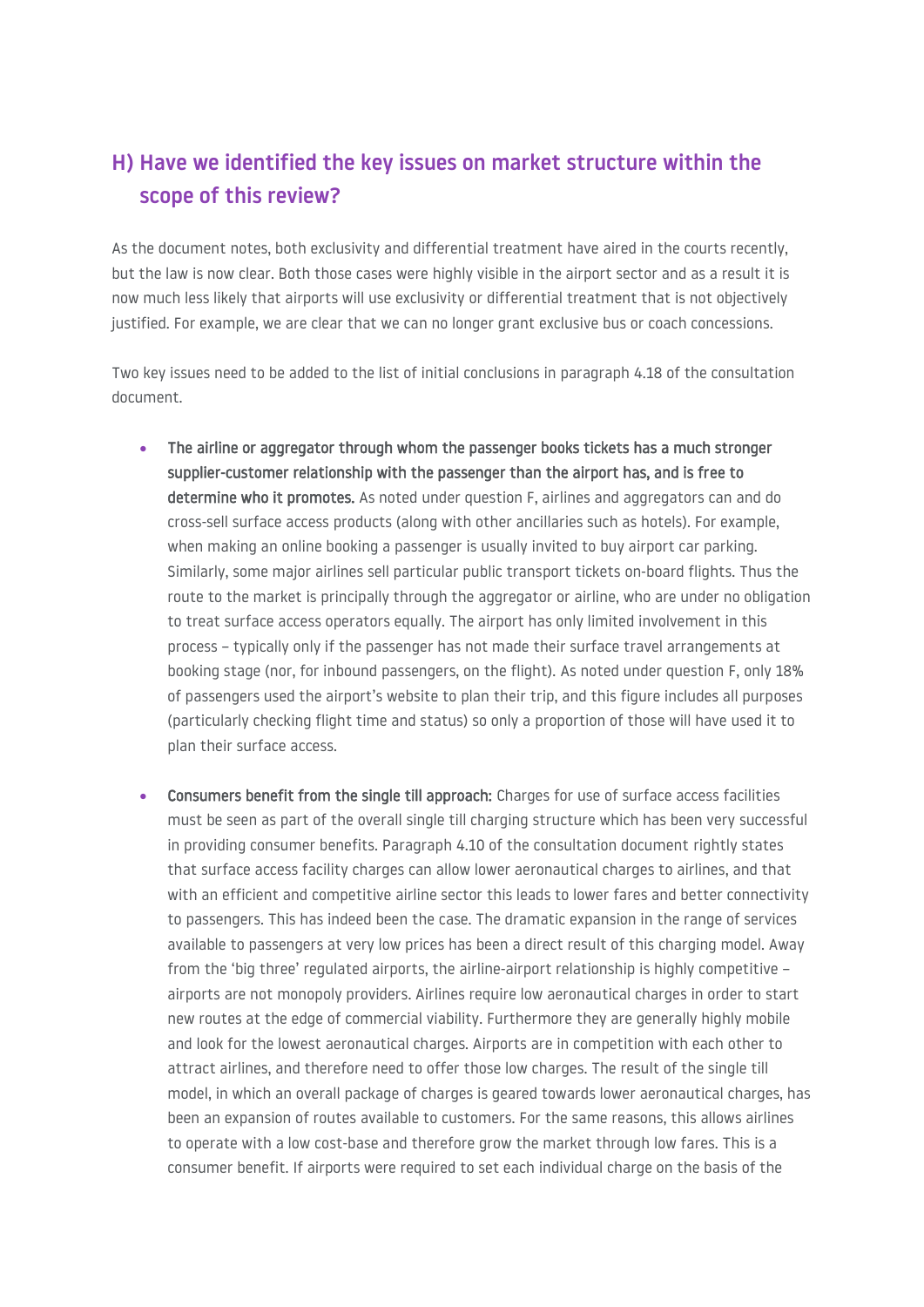#### **H) Have we identified the key issues on market structure within the scope of this review?**

As the document notes, both exclusivity and differential treatment have aired in the courts recently, but the law is now clear. Both those cases were highly visible in the airport sector and as a result it is now much less likely that airports will use exclusivity or differential treatment that is not objectively justified. For example, we are clear that we can no longer grant exclusive bus or coach concessions.

Two key issues need to be added to the list of initial conclusions in paragraph 4.18 of the consultation document.

- The airline or aggregator through whom the passenger books tickets has a much stronger supplier-customer relationship with the passenger than the airport has, and is free to determine who it promotes. As noted under question F, airlines and aggregators can and do cross-sell surface access products (along with other ancillaries such as hotels). For example, when making an online booking a passenger is usually invited to buy airport car parking. Similarly, some major airlines sell particular public transport tickets on-board flights. Thus the route to the market is principally through the aggregator or airline, who are under no obligation to treat surface access operators equally. The airport has only limited involvement in this process – typically only if the passenger has not made their surface travel arrangements at booking stage (nor, for inbound passengers, on the flight). As noted under question F, only 18% of passengers used the airport's website to plan their trip, and this figure includes all purposes (particularly checking flight time and status) so only a proportion of those will have used it to plan their surface access.
- Consumers benefit from the single till approach: Charges for use of surface access facilities must be seen as part of the overall single till charging structure which has been very successful in providing consumer benefits. Paragraph 4.10 of the consultation document rightly states that surface access facility charges can allow lower aeronautical charges to airlines, and that with an efficient and competitive airline sector this leads to lower fares and better connectivity to passengers. This has indeed been the case. The dramatic expansion in the range of services available to passengers at very low prices has been a direct result of this charging model. Away from the 'big three' regulated airports, the airline-airport relationship is highly competitive – airports are not monopoly providers. Airlines require low aeronautical charges in order to start new routes at the edge of commercial viability. Furthermore they are generally highly mobile and look for the lowest aeronautical charges. Airports are in competition with each other to attract airlines, and therefore need to offer those low charges. The result of the single till model, in which an overall package of charges is geared towards lower aeronautical charges, has been an expansion of routes available to customers. For the same reasons, this allows airlines to operate with a low cost-base and therefore grow the market through low fares. This is a consumer benefit. If airports were required to set each individual charge on the basis of the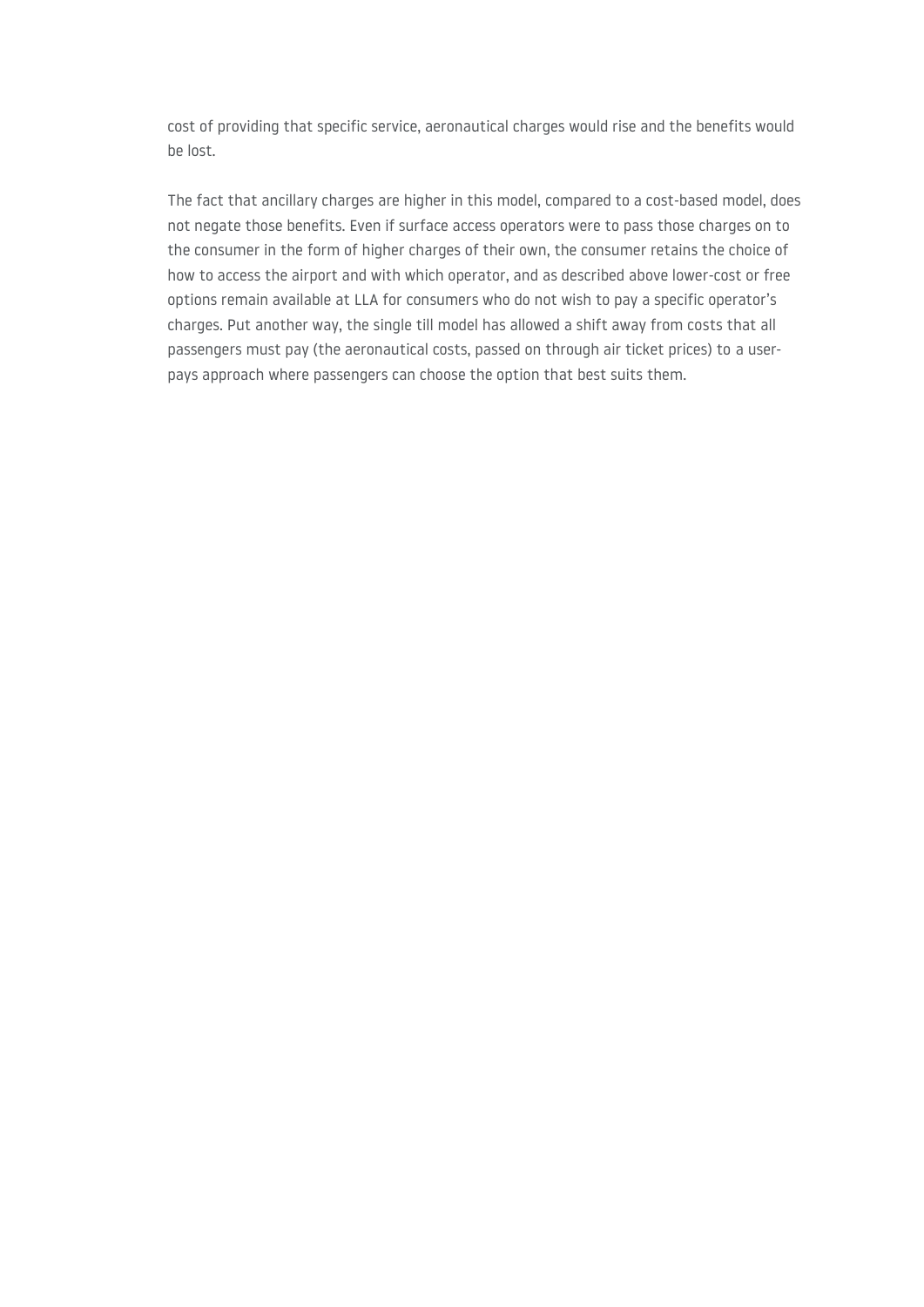cost of providing that specific service, aeronautical charges would rise and the benefits would be lost.

The fact that ancillary charges are higher in this model, compared to a cost-based model, does not negate those benefits. Even if surface access operators were to pass those charges on to the consumer in the form of higher charges of their own, the consumer retains the choice of how to access the airport and with which operator, and as described above lower-cost or free options remain available at LLA for consumers who do not wish to pay a specific operator's charges. Put another way, the single till model has allowed a shift away from costs that all passengers must pay (the aeronautical costs, passed on through air ticket prices) to a userpays approach where passengers can choose the option that best suits them.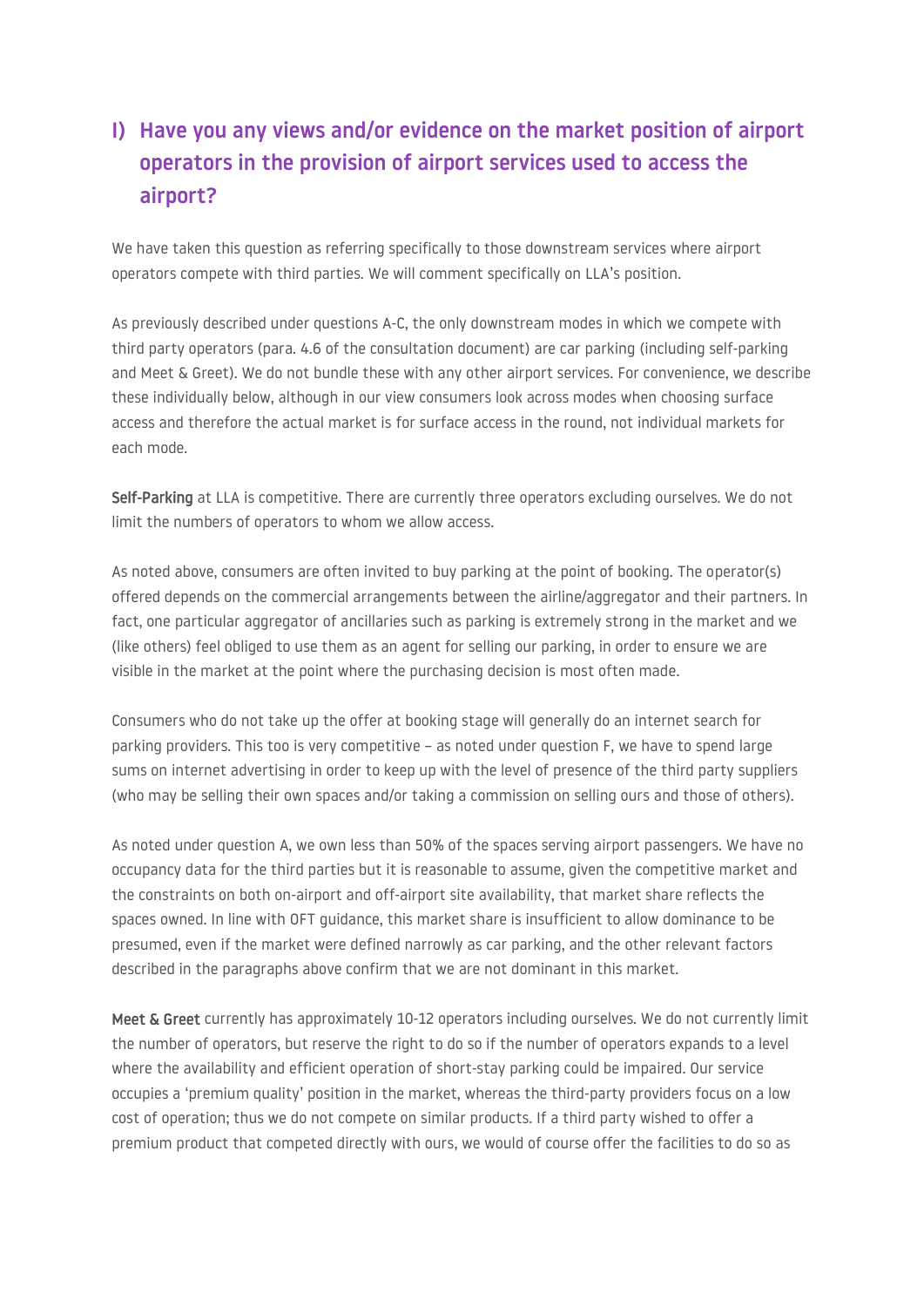### **I) Have you any views and/or evidence on the market position of airport operators in the provision of airport services used to access the airport?**

We have taken this question as referring specifically to those downstream services where airport operators compete with third parties. We will comment specifically on LLA's position.

As previously described under questions A-C, the only downstream modes in which we compete with third party operators (para. 4.6 of the consultation document) are car parking (including self-parking and Meet & Greet). We do not bundle these with any other airport services. For convenience, we describe these individually below, although in our view consumers look across modes when choosing surface access and therefore the actual market is for surface access in the round, not individual markets for each mode.

Self-Parking at LLA is competitive. There are currently three operators excluding ourselves. We do not limit the numbers of operators to whom we allow access.

As noted above, consumers are often invited to buy parking at the point of booking. The operator(s) offered depends on the commercial arrangements between the airline/aggregator and their partners. In fact, one particular aggregator of ancillaries such as parking is extremely strong in the market and we (like others) feel obliged to use them as an agent for selling our parking, in order to ensure we are visible in the market at the point where the purchasing decision is most often made.

Consumers who do not take up the offer at booking stage will generally do an internet search for parking providers. This too is very competitive – as noted under question F, we have to spend large sums on internet advertising in order to keep up with the level of presence of the third party suppliers (who may be selling their own spaces and/or taking a commission on selling ours and those of others).

As noted under question A, we own less than 50% of the spaces serving airport passengers. We have no occupancy data for the third parties but it is reasonable to assume, given the competitive market and the constraints on both on-airport and off-airport site availability, that market share reflects the spaces owned. In line with OFT guidance, this market share is insufficient to allow dominance to be presumed, even if the market were defined narrowly as car parking, and the other relevant factors described in the paragraphs above confirm that we are not dominant in this market.

Meet & Greet currently has approximately 10-12 operators including ourselves. We do not currently limit the number of operators, but reserve the right to do so if the number of operators expands to a level where the availability and efficient operation of short-stay parking could be impaired. Our service occupies a 'premium quality' position in the market, whereas the third-party providers focus on a low cost of operation; thus we do not compete on similar products. If a third party wished to offer a premium product that competed directly with ours, we would of course offer the facilities to do so as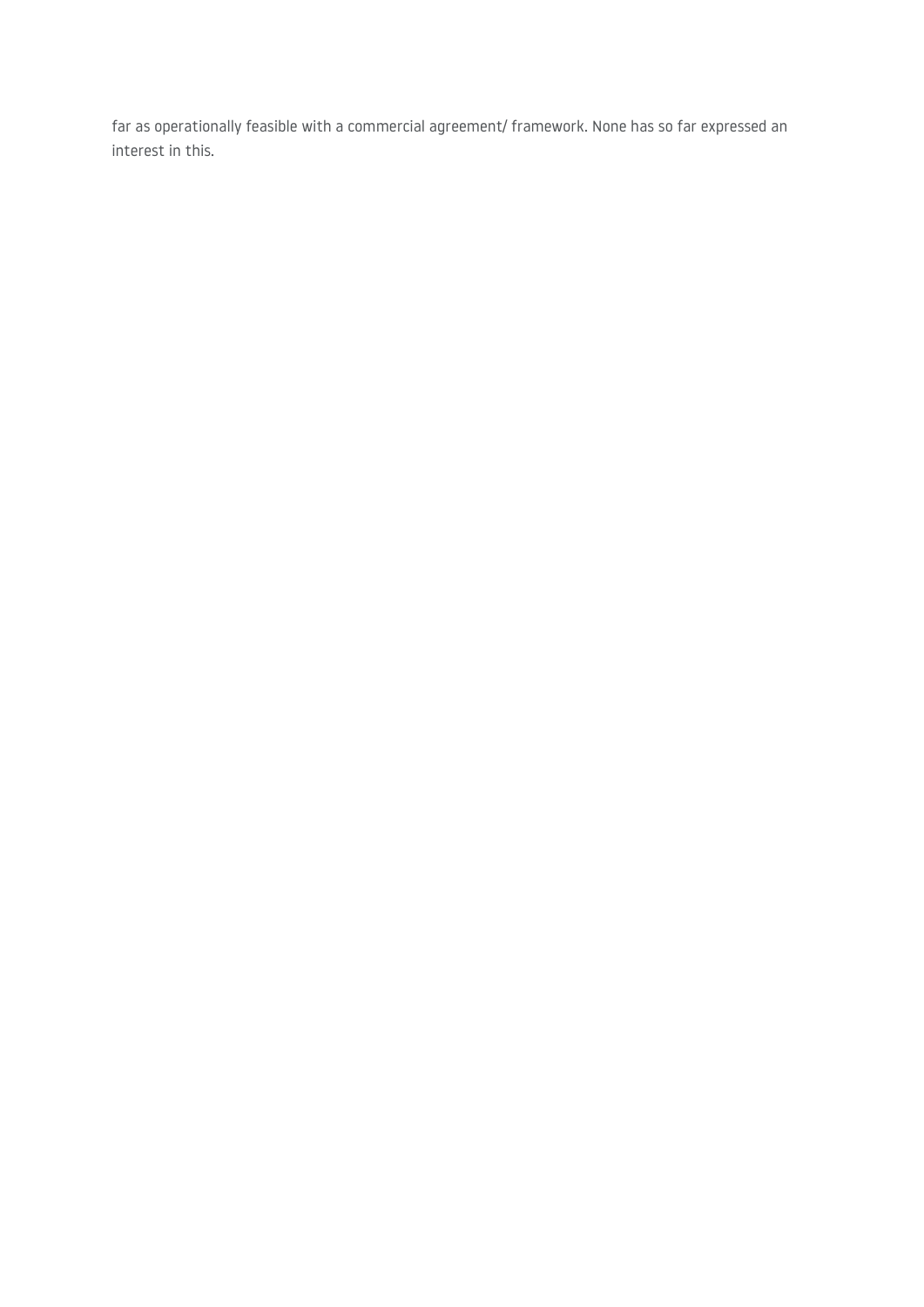far as operationally feasible with a commercial agreement/ framework. None has so far expressed an interest in this.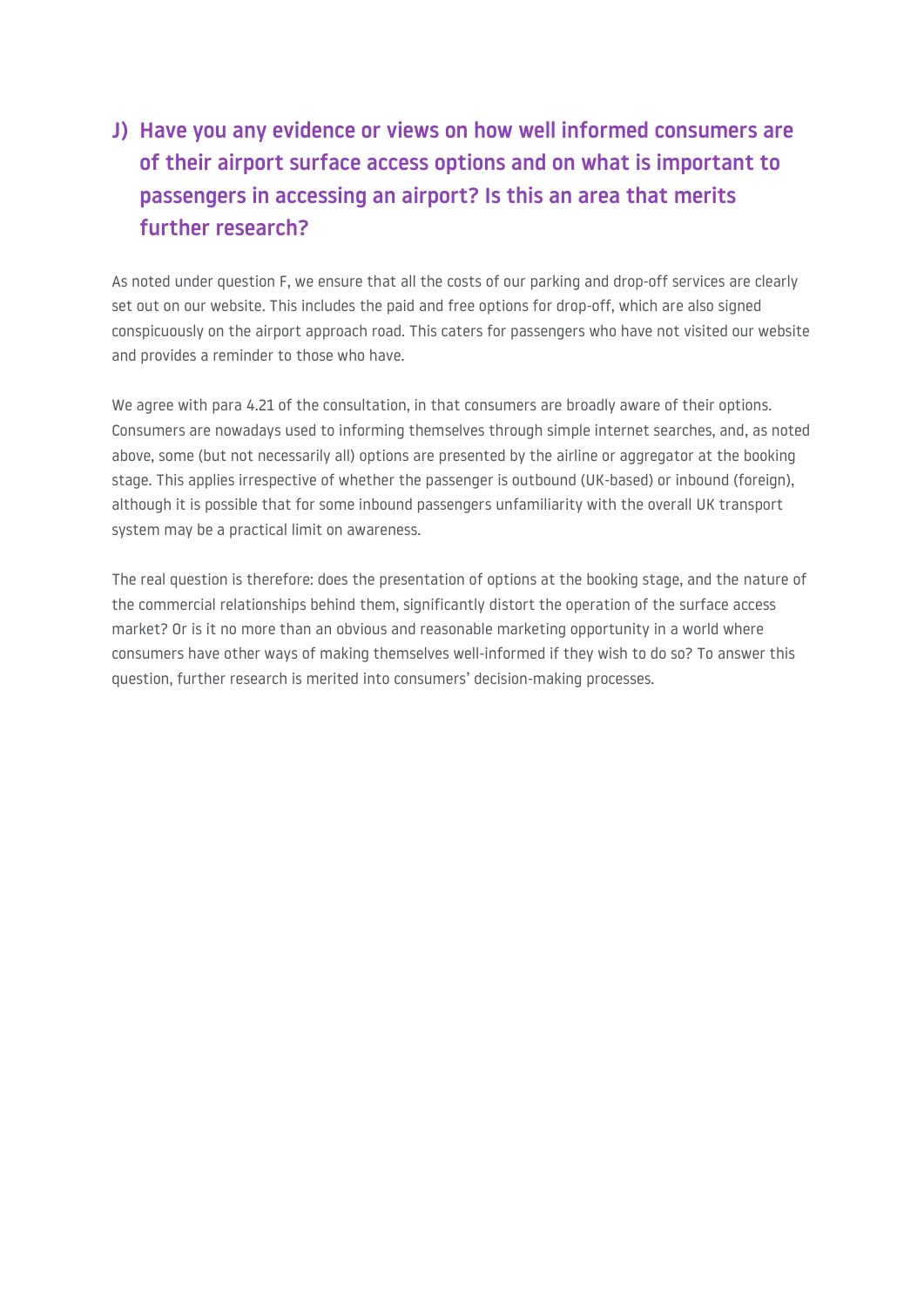# **J) Have you any evidence or views on how well informed consumers are of their airport surface access options and on what is important to passengers in accessing an airport? Is this an area that merits further research?**

As noted under question F, we ensure that all the costs of our parking and drop-off services are clearly set out on our website. This includes the paid and free options for drop-off, which are also signed conspicuously on the airport approach road. This caters for passengers who have not visited our website and provides a reminder to those who have.

We agree with para 4.21 of the consultation, in that consumers are broadly aware of their options. Consumers are nowadays used to informing themselves through simple internet searches, and, as noted above, some (but not necessarily all) options are presented by the airline or aggregator at the booking stage. This applies irrespective of whether the passenger is outbound (UK-based) or inbound (foreign), although it is possible that for some inbound passengers unfamiliarity with the overall UK transport system may be a practical limit on awareness.

The real question is therefore: does the presentation of options at the booking stage, and the nature of the commercial relationships behind them, significantly distort the operation of the surface access market? Or is it no more than an obvious and reasonable marketing opportunity in a world where consumers have other ways of making themselves well-informed if they wish to do so? To answer this question, further research is merited into consumers' decision-making processes.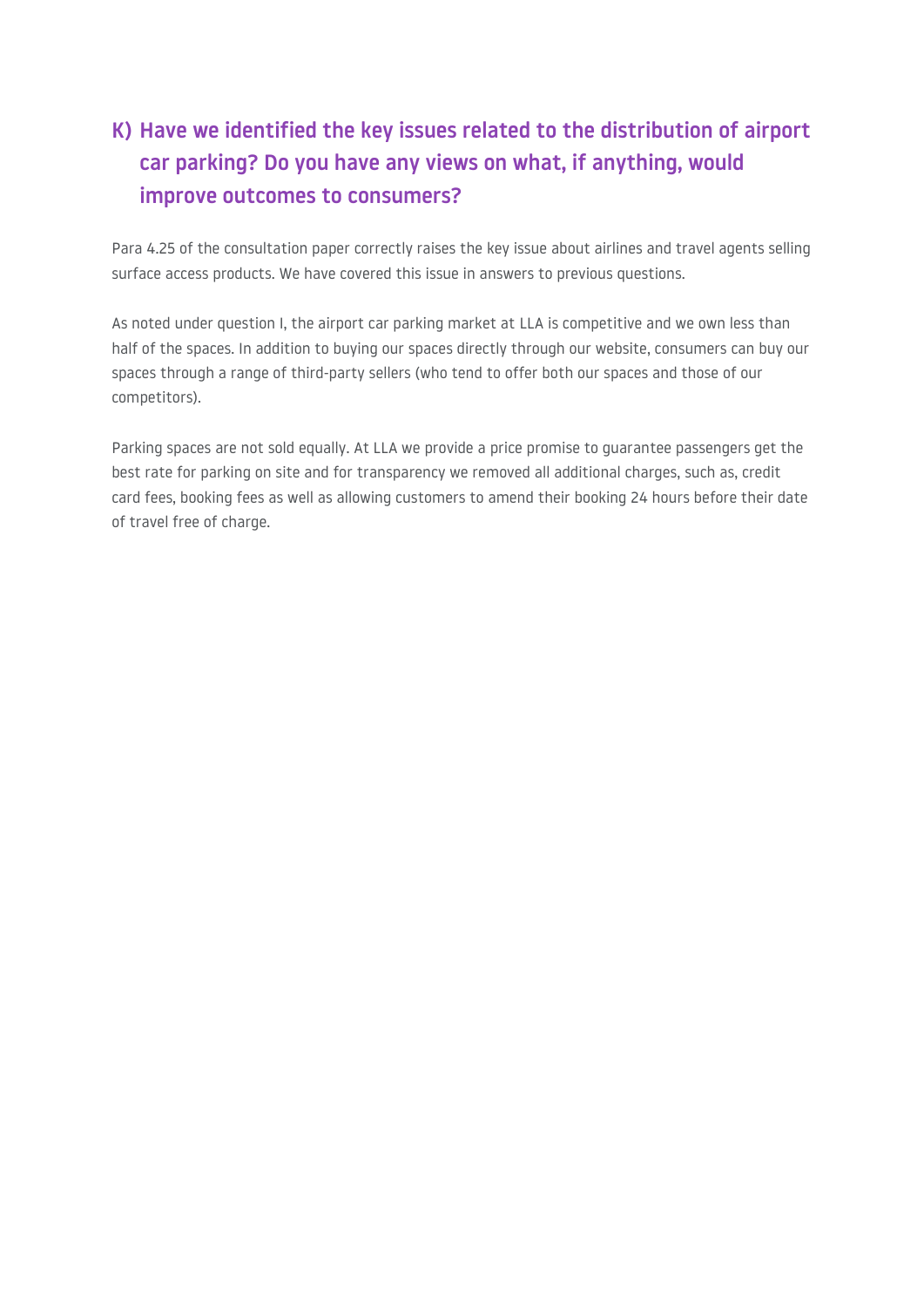## **K) Have we identified the key issues related to the distribution of airport car parking? Do you have any views on what, if anything, would improve outcomes to consumers?**

Para 4.25 of the consultation paper correctly raises the key issue about airlines and travel agents selling surface access products. We have covered this issue in answers to previous questions.

As noted under question I, the airport car parking market at LLA is competitive and we own less than half of the spaces. In addition to buying our spaces directly through our website, consumers can buy our spaces through a range of third-party sellers (who tend to offer both our spaces and those of our competitors).

Parking spaces are not sold equally. At LLA we provide a price promise to guarantee passengers get the best rate for parking on site and for transparency we removed all additional charges, such as, credit card fees, booking fees as well as allowing customers to amend their booking 24 hours before their date of travel free of charge.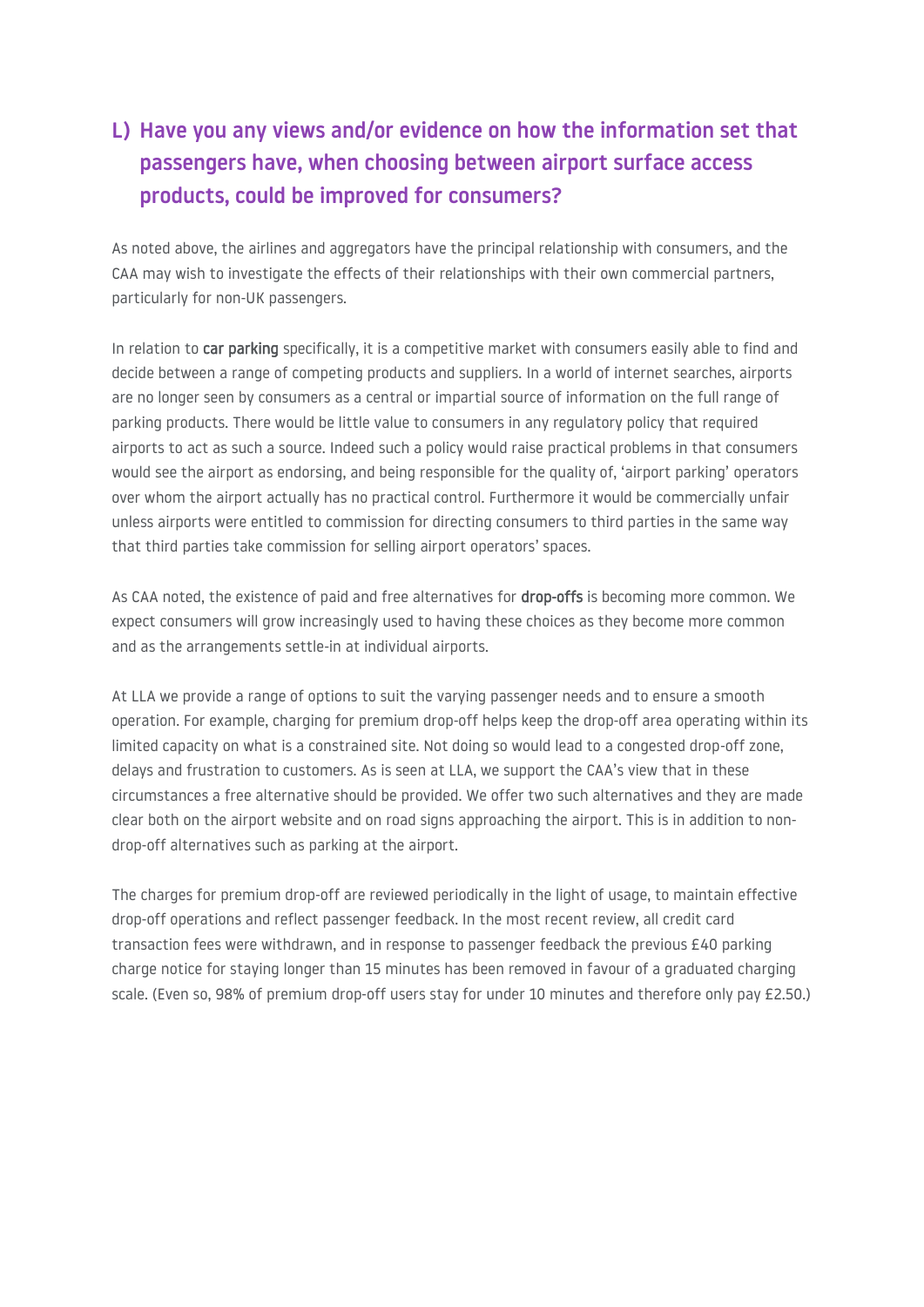## **L) Have you any views and/or evidence on how the information set that passengers have, when choosing between airport surface access products, could be improved for consumers?**

As noted above, the airlines and aggregators have the principal relationship with consumers, and the CAA may wish to investigate the effects of their relationships with their own commercial partners, particularly for non-UK passengers.

In relation to car parking specifically, it is a competitive market with consumers easily able to find and decide between a range of competing products and suppliers. In a world of internet searches, airports are no longer seen by consumers as a central or impartial source of information on the full range of parking products. There would be little value to consumers in any regulatory policy that required airports to act as such a source. Indeed such a policy would raise practical problems in that consumers would see the airport as endorsing, and being responsible for the quality of, 'airport parking' operators over whom the airport actually has no practical control. Furthermore it would be commercially unfair unless airports were entitled to commission for directing consumers to third parties in the same way that third parties take commission for selling airport operators' spaces.

As CAA noted, the existence of paid and free alternatives for **drop-offs** is becoming more common. We expect consumers will grow increasingly used to having these choices as they become more common and as the arrangements settle-in at individual airports.

At LLA we provide a range of options to suit the varying passenger needs and to ensure a smooth operation. For example, charging for premium drop-off helps keep the drop-off area operating within its limited capacity on what is a constrained site. Not doing so would lead to a congested drop-off zone, delays and frustration to customers. As is seen at LLA, we support the CAA's view that in these circumstances a free alternative should be provided. We offer two such alternatives and they are made clear both on the airport website and on road signs approaching the airport. This is in addition to nondrop-off alternatives such as parking at the airport.

The charges for premium drop-off are reviewed periodically in the light of usage, to maintain effective drop-off operations and reflect passenger feedback. In the most recent review, all credit card transaction fees were withdrawn, and in response to passenger feedback the previous £40 parking charge notice for staying longer than 15 minutes has been removed in favour of a graduated charging scale. (Even so, 98% of premium drop-off users stay for under 10 minutes and therefore only pay £2.50.)